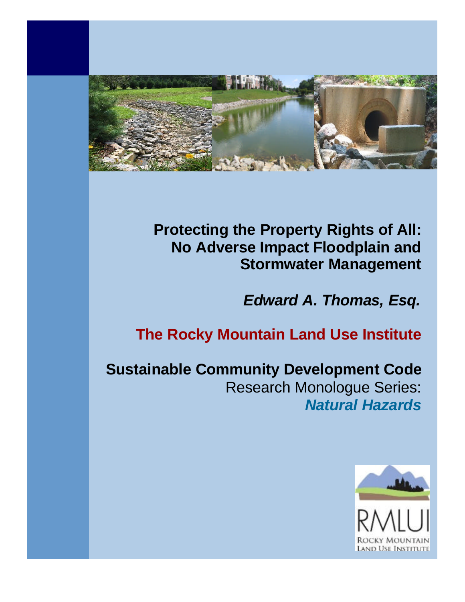

**Protecting the Property Rights of All: No Adverse Impact Floodplain and Stormwater Management**

*Edward A. Thomas, Esq.*

## **The Rocky Mountain Land Use Institute**

**Sustainable Community Development Code** Research Monologue Series: *Natural Hazards*

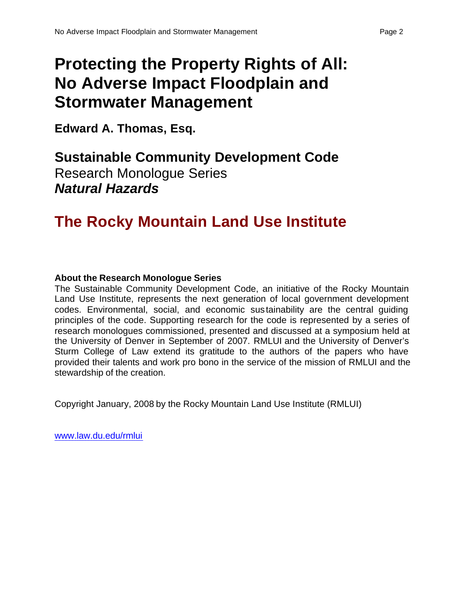# **Protecting the Property Rights of All: No Adverse Impact Floodplain and Stormwater Management**

**Edward A. Thomas, Esq.**

**Sustainable Community Development Code** Research Monologue Series *Natural Hazards*

## **The Rocky Mountain Land Use Institute**

## **About the Research Monologue Series**

The Sustainable Community Development Code, an initiative of the Rocky Mountain Land Use Institute, represents the next generation of local government development codes. Environmental, social, and economic sustainability are the central guiding principles of the code. Supporting research for the code is represented by a series of research monologues commissioned, presented and discussed at a symposium held at the University of Denver in September of 2007. RMLUI and the University of Denver's Sturm College of Law extend its gratitude to the authors of the papers who have provided their talents and work pro bono in the service of the mission of RMLUI and the stewardship of the creation.

Copyright January, 2008 by the Rocky Mountain Land Use Institute (RMLUI)

www.law.du.edu/rmlui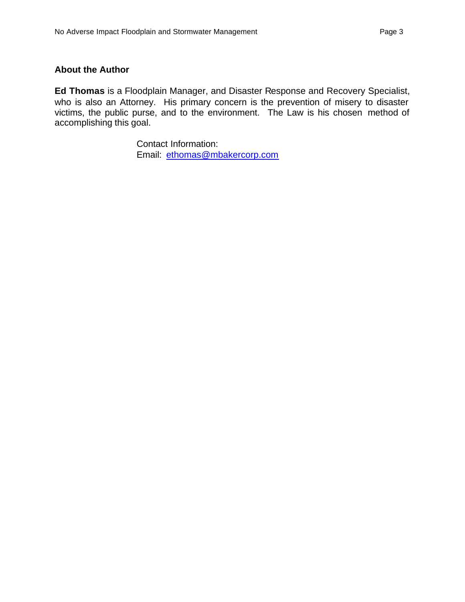### **About the Author**

**Ed Thomas** is a Floodplain Manager, and Disaster Response and Recovery Specialist, who is also an Attorney. His primary concern is the prevention of misery to disaster victims, the public purse, and to the environment. The Law is his chosen method of accomplishing this goal.

> Contact Information: Email: ethomas@mbakercorp.com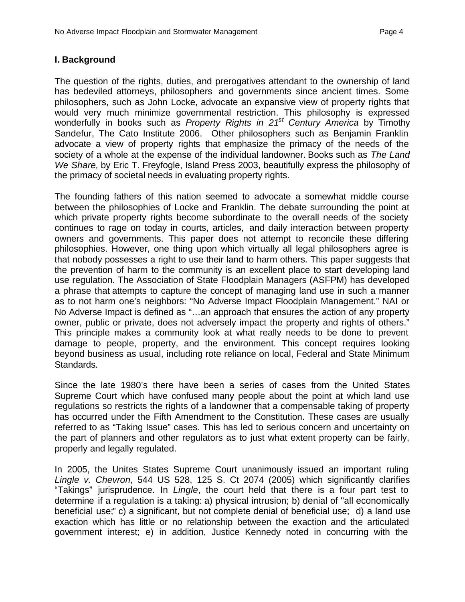### **I. Background**

The question of the rights, duties, and prerogatives attendant to the ownership of land has bedeviled attorneys, philosophers and governments since ancient times. Some philosophers, such as John Locke, advocate an expansive view of property rights that would very much minimize governmental restriction. This philosophy is expressed wonderfully in books such as *Property Rights in 21<sup>st</sup> Century America* by Timothy Sandefur, The Cato Institute 2006. Other philosophers such as Benjamin Franklin advocate a view of property rights that emphasize the primacy of the needs of the society of a whole at the expense of the individual landowner. Books such as *The Land We Share,* by Eric T. Freyfogle, Island Press 2003, beautifully express the philosophy of the primacy of societal needs in evaluating property rights.

The founding fathers of this nation seemed to advocate a somewhat middle course between the philosophies of Locke and Franklin. The debate surrounding the point at which private property rights become subordinate to the overall needs of the society continues to rage on today in courts, articles, and daily interaction between property owners and governments. This paper does not attempt to reconcile these differing philosophies. However, one thing upon which virtually all legal philosophers agree is that nobody possesses a right to use their land to harm others. This paper suggests that the prevention of harm to the community is an excellent place to start developing land use regulation. The Association of State Floodplain Managers (ASFPM) has developed a phrase that attempts to capture the concept of managing land use in such a manner as to not harm one's neighbors: "No Adverse Impact Floodplain Management." NAI or No Adverse Impact is defined as "…an approach that ensures the action of any property owner, public or private, does not adversely impact the property and rights of others." This principle makes a community look at what really needs to be done to prevent damage to people, property, and the environment. This concept requires looking beyond business as usual, including rote reliance on local, Federal and State Minimum Standards.

Since the late 1980's there have been a series of cases from the United States Supreme Court which have confused many people about the point at which land use regulations so restricts the rights of a landowner that a compensable taking of property has occurred under the Fifth Amendment to the Constitution. These cases are usually referred to as "Taking Issue" cases. This has led to serious concern and uncertainty on the part of planners and other regulators as to just what extent property can be fairly, properly and legally regulated.

In 2005, the Unites States Supreme Court unanimously issued an important ruling *Lingle v. Chevron*, 544 US 528, 125 S. Ct 2074 (2005) which significantly clarifies "Takings" jurisprudence. In *Lingle*, the court held that there is a four part test to determine if a regulation is a taking: a) physical intrusion; b) denial of "all economically beneficial use;" c) a significant, but not complete denial of beneficial use; d) a land use exaction which has little or no relationship between the exaction and the articulated government interest; e) in addition, Justice Kennedy noted in concurring with the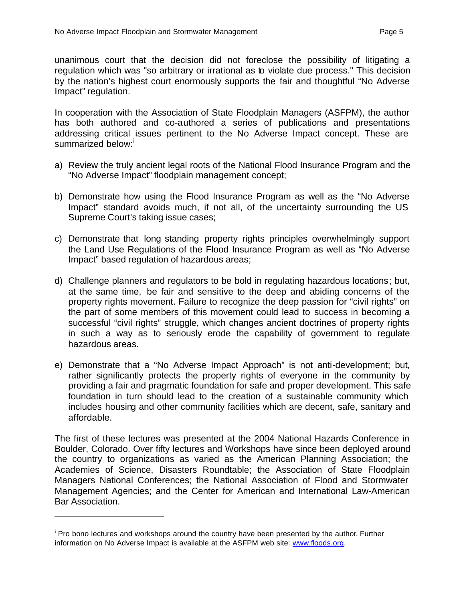unanimous court that the decision did not foreclose the possibility of litigating a regulation which was "so arbitrary or irrational as to violate due process." This decision by the nation's highest court enormously supports the fair and thoughtful "No Adverse Impact" regulation.

In cooperation with the Association of State Floodplain Managers (ASFPM), the author has both authored and co-authored a series of publications and presentations addressing critical issues pertinent to the No Adverse Impact concept. These are summarized below:

- a) Review the truly ancient legal roots of the National Flood Insurance Program and the "No Adverse Impact" floodplain management concept;
- b) Demonstrate how using the Flood Insurance Program as well as the "No Adverse Impact" standard avoids much, if not all, of the uncertainty surrounding the US Supreme Court's taking issue cases;
- c) Demonstrate that long standing property rights principles overwhelmingly support the Land Use Regulations of the Flood Insurance Program as well as "No Adverse Impact" based regulation of hazardous areas;
- d) Challenge planners and regulators to be bold in regulating hazardous locations; but, at the same time, be fair and sensitive to the deep and abiding concerns of the property rights movement. Failure to recognize the deep passion for "civil rights" on the part of some members of this movement could lead to success in becoming a successful "civil rights" struggle, which changes ancient doctrines of property rights in such a way as to seriously erode the capability of government to regulate hazardous areas.
- e) Demonstrate that a "No Adverse Impact Approach" is not anti-development; but, rather significantly protects the property rights of everyone in the community by providing a fair and pragmatic foundation for safe and proper development. This safe foundation in turn should lead to the creation of a sustainable community which includes housing and other community facilities which are decent, safe, sanitary and affordable.

The first of these lectures was presented at the 2004 National Hazards Conference in Boulder, Colorado. Over fifty lectures and Workshops have since been deployed around the country to organizations as varied as the American Planning Association; the Academies of Science, Disasters Roundtable; the Association of State Floodplain Managers National Conferences; the National Association of Flood and Stormwater Management Agencies; and the Center for American and International Law-American Bar Association.

 $\overline{a}$ 

<sup>&</sup>lt;sup>i</sup> Pro bono lectures and workshops around the country have been presented by the author. Further information on No Adverse Impact is available at the ASFPM web site: www.floods.org.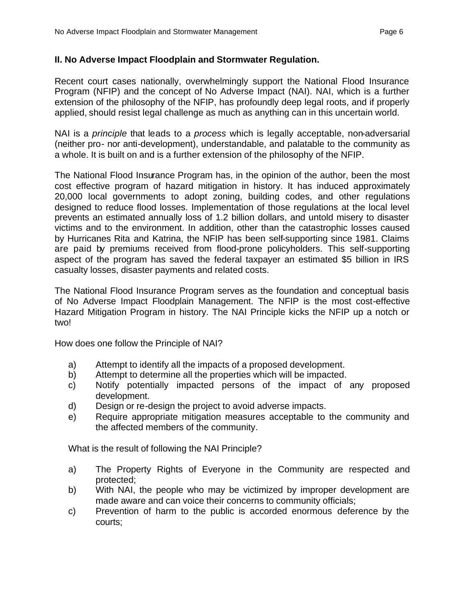## **II. No Adverse Impact Floodplain and Stormwater Regulation.**

Recent court cases nationally, overwhelmingly support the National Flood Insurance Program (NFIP) and the concept of No Adverse Impact (NAI). NAI, which is a further extension of the philosophy of the NFIP, has profoundly deep legal roots, and if properly applied, should resist legal challenge as much as anything can in this uncertain world.

NAI is a *principle* that leads to a *process* which is legally acceptable, non-adversarial (neither pro- nor anti-development), understandable, and palatable to the community as a whole. It is built on and is a further extension of the philosophy of the NFIP.

The National Flood Insurance Program has, in the opinion of the author, been the most cost effective program of hazard mitigation in history. It has induced approximately 20,000 local governments to adopt zoning, building codes, and other regulations designed to reduce flood losses. Implementation of those regulations at the local level prevents an estimated annually loss of 1.2 billion dollars, and untold misery to disaster victims and to the environment. In addition, other than the catastrophic losses caused by Hurricanes Rita and Katrina, the NFIP has been self-supporting since 1981. Claims are paid by premiums received from flood-prone policyholders. This self-supporting aspect of the program has saved the federal taxpayer an estimated \$5 billion in IRS casualty losses, disaster payments and related costs.

The National Flood Insurance Program serves as the foundation and conceptual basis of No Adverse Impact Floodplain Management. The NFIP is the most cost-effective Hazard Mitigation Program in history. The NAI Principle kicks the NFIP up a notch or two!

How does one follow the Principle of NAI?

- a) Attempt to identify all the impacts of a proposed development.
- b) Attempt to determine all the properties which will be impacted.
- c) Notify potentially impacted persons of the impact of any proposed development.
- d) Design or re-design the project to avoid adverse impacts.
- e) Require appropriate mitigation measures acceptable to the community and the affected members of the community.

What is the result of following the NAI Principle?

- a) The Property Rights of Everyone in the Community are respected and protected;
- b) With NAI, the people who may be victimized by improper development are made aware and can voice their concerns to community officials;
- c) Prevention of harm to the public is accorded enormous deference by the courts;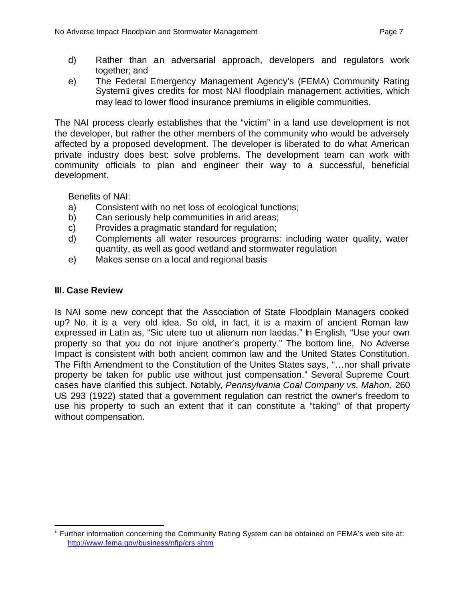- d) Rather than an adversarial approach, developers and regulators work together; and
- e) The Federal Emergency Management Agency's (FEMA) Community Rating Systemii gives credits for most NAI floodplain management activities, which may lead to lower flood insurance premiums in eligible communities.

The NAI process clearly establishes that the "victim" in a land use development is not the developer, but rather the other members of the community who would be adversely affected by a proposed development. The developer is liberated to do what American private industry does best: solve problems. The development team can work with community officials to plan and engineer their way to a successful, beneficial development.

Benefits of NAI:

- a) Consistent with no net loss of ecological functions;
- b) Can seriously help communities in arid areas;
- c) Provides a pragmatic standard for regulation;
- d) Complements all water resources programs: including water quality, water quantity, as well as good wetland and stormwater regulation
- e) Makes sense on a local and regional basis

## **III. Case Review**

Is NAI some new concept that the Association of State Floodplain Managers cooked up? No, it is a very old idea. So old, in fact, it is a maxim of ancient Roman law expressed in Latin as, "Sic utere tuo ut alienum non laedas." In English, "Use your own property so that you do not injure another's property." The bottom line, No Adverse Impact is consistent with both ancient common law and the United States Constitution. The Fifth Amendment to the Constitution of the Unites States says, "…nor shall private property be taken for public use without just compensation." Several Supreme Court cases have clarified this subject. Notably, *Pennsylvania Coal Company vs. Mahon,* 260 US 293 (1922) stated that a government regulation can restrict the owner's freedom to use his property to such an extent that it can constitute a "taking" of that property without compensation.

 $\overline{a}$ ii Further information concerning the Community Rating System can be obtained on FEMA's web site at: http://www.fema.gov/business/nfip/crs.shtm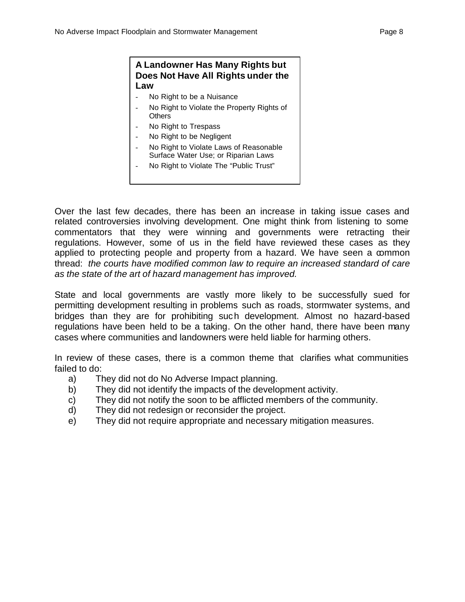### **A Landowner Has Many Rights but Does Not Have All Rights under the Law**

- No Right to be a Nuisance
- No Right to Violate the Property Rights of **Others**
- No Right to Trespass
- No Right to be Negligent
- No Right to Violate Laws of Reasonable Surface Water Use; or Riparian Laws
- No Right to Violate The "Public Trust"

Over the last few decades, there has been an increase in taking issue cases and related controversies involving development. One might think from listening to some commentators that they were winning and governments were retracting their regulations. However, some of us in the field have reviewed these cases as they applied to protecting people and property from a hazard. We have seen a common thread: *the courts have modified common law to require an increased standard of care as the state of the art of hazard management has improved.*

State and local governments are vastly more likely to be successfully sued for permitting development resulting in problems such as roads, stormwater systems, and bridges than they are for prohibiting such development. Almost no hazard-based regulations have been held to be a taking. On the other hand, there have been many cases where communities and landowners were held liable for harming others.

In review of these cases, there is a common theme that clarifies what communities failed to do:

- a) They did not do No Adverse Impact planning.
- b) They did not identify the impacts of the development activity.
- c) They did not notify the soon to be afflicted members of the community.
- d) They did not redesign or reconsider the project.
- e) They did not require appropriate and necessary mitigation measures.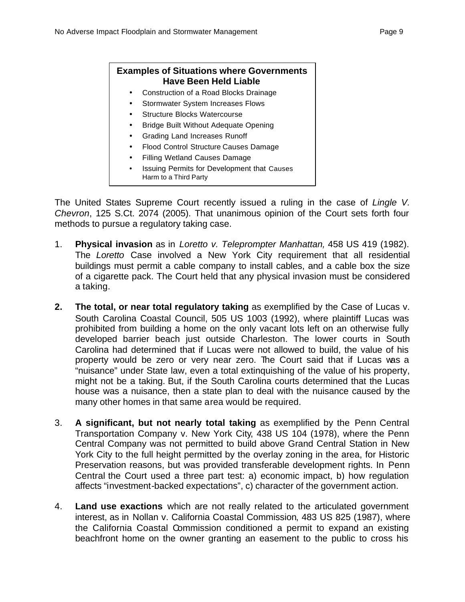## **Examples of Situations where Governments Have Been Held Liable**

- Construction of a Road Blocks Drainage
- **Stormwater System Increases Flows**
- Structure Blocks Watercourse
- Bridge Built Without Adequate Opening
- Grading Land Increases Runoff
- Flood Control Structure Causes Damage
- Filling Wetland Causes Damage
- Issuing Permits for Development that Causes Harm to a Third Party

The United States Supreme Court recently issued a ruling in the case of *Lingle V. Chevron*, 125 S.Ct. 2074 (2005). That unanimous opinion of the Court sets forth four methods to pursue a regulatory taking case.

- 1. **Physical invasion** as in *Loretto v. Teleprompter Manhattan,* 458 US 419 (1982). The *Loretto* Case involved a New York City requirement that all residential buildings must permit a cable company to install cables, and a cable box the size of a cigarette pack. The Court held that any physical invasion must be considered a taking.
- **2. The total, or near total regulatory taking** as exemplified by the Case of Lucas v. South Carolina Coastal Council, 505 US 1003 (1992), where plaintiff Lucas was prohibited from building a home on the only vacant lots left on an otherwise fully developed barrier beach just outside Charleston. The lower courts in South Carolina had determined that if Lucas were not allowed to build, the value of his property would be zero or very near zero. The Court said that if Lucas was a "nuisance" under State law, even a total extinquishing of the value of his property, might not be a taking. But, if the South Carolina courts determined that the Lucas house was a nuisance, then a state plan to deal with the nuisance caused by the many other homes in that same area would be required.
- 3. **A significant, but not nearly total taking** as exemplified by the Penn Central Transportation Company v. New York City, 438 US 104 (1978), where the Penn Central Company was not permitted to build above Grand Central Station in New York City to the full height permitted by the overlay zoning in the area, for Historic Preservation reasons, but was provided transferable development rights. In Penn Central the Court used a three part test: a) economic impact, b) how regulation affects "investment-backed expectations", c) character of the government action.
- 4. **Land use exactions** which are not really related to the articulated government interest, as in Nollan v. California Coastal Commission, 483 US 825 (1987), where the California Coastal Commission conditioned a permit to expand an existing beachfront home on the owner granting an easement to the public to cross his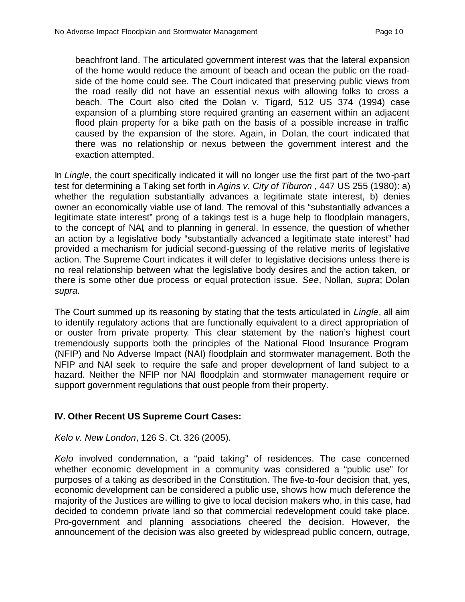beachfront land. The articulated government interest was that the lateral expansion of the home would reduce the amount of beach and ocean the public on the roadside of the home could see. The Court indicated that preserving public views from the road really did not have an essential nexus with allowing folks to cross a beach. The Court also cited the Dolan v. Tigard, 512 US 374 (1994) case expansion of a plumbing store required granting an easement within an adjacent flood plain property for a bike path on the basis of a possible increase in traffic caused by the expansion of the store. Again, in Dolan, the court indicated that there was no relationship or nexus between the government interest and the exaction attempted.

In *Lingle*, the court specifically indicated it will no longer use the first part of the two-part test for determining a Taking set forth in *Agins v. City of Tiburon* , 447 US 255 (1980): a) whether the regulation substantially advances a legitimate state interest, b) denies owner an economically viable use of land. The removal of this "substantially advances a legitimate state interest" prong of a takings test is a huge help to floodplain managers, to the concept of NAI, and to planning in general. In essence, the question of whether an action by a legislative body "substantially advanced a legitimate state interest" had provided a mechanism for judicial second-guessing of the relative merits of legislative action. The Supreme Court indicates it will defer to legislative decisions unless there is no real relationship between what the legislative body desires and the action taken, or there is some other due process or equal protection issue. *See*, Nollan, *supra*; Dolan *supra*.

The Court summed up its reasoning by stating that the tests articulated in *Lingle*, all aim to identify regulatory actions that are functionally equivalent to a direct appropriation of or ouster from private property. This clear statement by the nation's highest court tremendously supports both the principles of the National Flood Insurance Program (NFIP) and No Adverse Impact (NAI) floodplain and stormwater management. Both the NFIP and NAI seek to require the safe and proper development of land subject to a hazard. Neither the NFIP nor NAI floodplain and stormwater management require or support government regulations that oust people from their property.

## **IV. Other Recent US Supreme Court Cases:**

### *Kelo v. New London*, 126 S. Ct. 326 (2005).

*Kelo* involved condemnation, a "paid taking" of residences. The case concerned whether economic development in a community was considered a "public use" for purposes of a taking as described in the Constitution. The five-to-four decision that, yes, economic development can be considered a public use, shows how much deference the majority of the Justices are willing to give to local decision makers who, in this case, had decided to condemn private land so that commercial redevelopment could take place. Pro-government and planning associations cheered the decision. However, the announcement of the decision was also greeted by widespread public concern, outrage,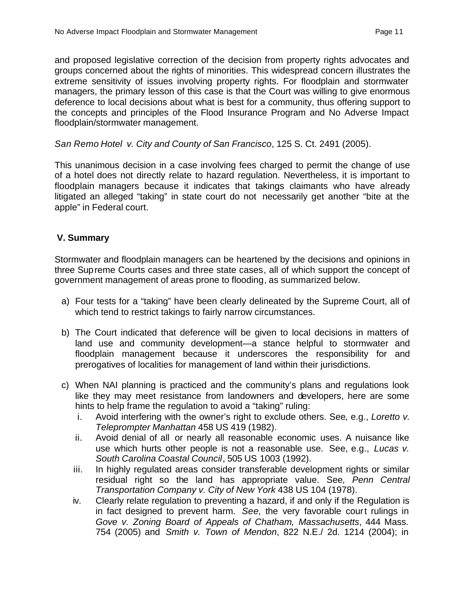and proposed legislative correction of the decision from property rights advocates and groups concerned about the rights of minorities. This widespread concern illustrates the extreme sensitivity of issues involving property rights. For floodplain and stormwater managers, the primary lesson of this case is that the Court was willing to give enormous deference to local decisions about what is best for a community, thus offering support to the concepts and principles of the Flood Insurance Program and No Adverse Impact floodplain/stormwater management.

## *San Remo Hotel v. City and County of San Francisco*, 125 S. Ct. 2491 (2005).

This unanimous decision in a case involving fees charged to permit the change of use of a hotel does not directly relate to hazard regulation. Nevertheless, it is important to floodplain managers because it indicates that takings claimants who have already litigated an alleged "taking" in state court do not necessarily get another "bite at the apple" in Federal court.

## **V. Summary**

Stormwater and floodplain managers can be heartened by the decisions and opinions in three Supreme Courts cases and three state cases, all of which support the concept of government management of areas prone to flooding, as summarized below.

- a) Four tests for a "taking" have been clearly delineated by the Supreme Court, all of which tend to restrict takings to fairly narrow circumstances.
- b) The Court indicated that deference will be given to local decisions in matters of land use and community development—a stance helpful to stormwater and floodplain management because it underscores the responsibility for and prerogatives of localities for management of land within their jurisdictions.
- c) When NAI planning is practiced and the community's plans and regulations look like they may meet resistance from landowners and developers, here are some hints to help frame the regulation to avoid a "taking" ruling:
	- i. Avoid interfering with the owner's right to exclude others. See*,* e.g., *Loretto v. Teleprompter Manhattan* 458 US 419 (1982).
	- ii. Avoid denial of all or nearly all reasonable economic uses. A nuisance like use which hurts other people is not a reasonable use. See, e.g., *Lucas v. South Carolina Coastal Council*, 505 US 1003 (1992).
	- iii. In highly regulated areas consider transferable development rights or similar residual right so the land has appropriate value. See*, Penn Central Transportation Company v. City of New York* 438 US 104 (1978).
	- iv. Clearly relate regulation to preventing a hazard, if and only if the Regulation is in fact designed to prevent harm. *See,* the very favorable court rulings in *Gove v. Zoning Board of Appeals of Chatham, Massachusetts*, 444 Mass. 754 (2005) and *Smith v. Town of Mendon*, 822 N.E./ 2d. 1214 (2004); in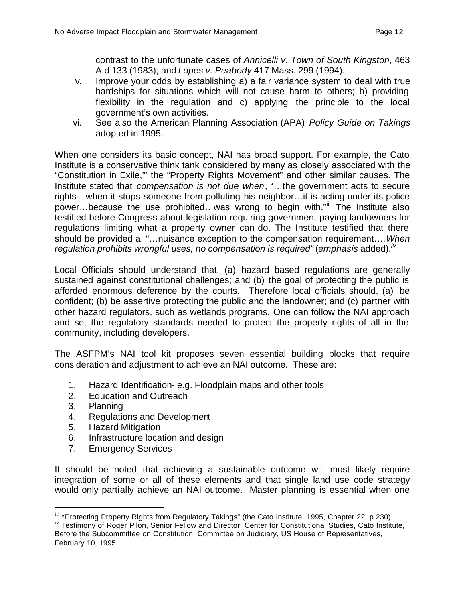contrast to the unfortunate cases of *Annicelli v. Town of South Kingston*, 463 A.d 133 (1983); and *Lopes v. Peabody* 417 Mass. 299 (1994).

- v. Improve your odds by establishing a) a fair variance system to deal with true hardships for situations which will not cause harm to others; b) providing flexibility in the regulation and c) applying the principle to the local government's own activities.
- vi. See also the American Planning Association (APA) *Policy Guide on Takings* adopted in 1995.

When one considers its basic concept, NAI has broad support. For example, the Cato Institute is a conservative think tank considered by many as closely associated with the "Constitution in Exile,"' the "Property Rights Movement" and other similar causes. The Institute stated that *compensation is not due when*, "…the government acts to secure rights - when it stops someone from polluting his neighbor…it is acting under its police power...because the use prohibited...was wrong to begin with." The Institute also testified before Congress about legislation requiring government paying landowners for regulations limiting what a property owner can do. The Institute testified that there should be provided a, "…nuisance exception to the compensation requirement….*When regulation prohibits wrongful uses, no compensation is required"* (*emphasis* added).*iv*

Local Officials should understand that, (a) hazard based regulations are generally sustained against constitutional challenges; and (b) the goal of protecting the public is afforded enormous deference by the courts. Therefore local officials should, (a) be confident; (b) be assertive protecting the public and the landowner; and (c) partner with other hazard regulators, such as wetlands programs. One can follow the NAI approach and set the regulatory standards needed to protect the property rights of all in the community, including developers.

The ASFPM's NAI tool kit proposes seven essential building blocks that require consideration and adjustment to achieve an NAI outcome. These are:

- 1. Hazard Identification- e.g. Floodplain maps and other tools
- 2. Education and Outreach
- 3. Planning

 $\overline{a}$ 

- 4. Regulations and Development
- 5. Hazard Mitigation
- 6. Infrastructure location and design
- 7. Emergency Services

It should be noted that achieving a sustainable outcome will most likely require integration of some or all of these elements and that single land use code strategy would only partially achieve an NAI outcome. Master planning is essential when one

iv Testimony of Roger Pilon, Senior Fellow and Director, Center for Constitutional Studies, Cato Institute, Before the Subcommittee on Constitution, Committee on Judiciary, US House of Representatives, February 10, 1995.

iii "Protecting Property Rights from Regulatory Takings" (the Cato Institute, 1995, Chapter 22, p.230).